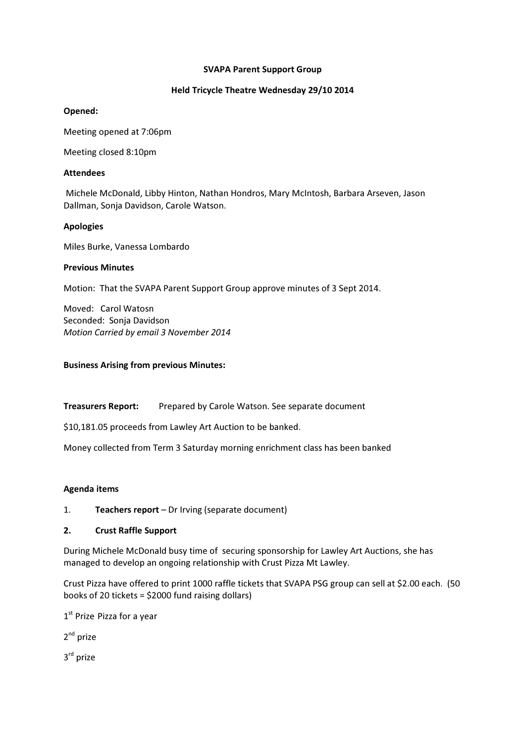#### SVAPA Parent Support Group

## Held Tricycle Theatre Wednesday 29/10 2014

## Opened:

Meeting opened at 7:06pm

Meeting closed 8:10pm

## Attendees

 Michele McDonald, Libby Hinton, Nathan Hondros, Mary McIntosh, Barbara Arseven, Jason Dallman, Sonja Davidson, Carole Watson.

## Apologies

Miles Burke, Vanessa Lombardo

## Previous Minutes

Motion: That the SVAPA Parent Support Group approve minutes of 3 Sept 2014.

Moved: Carol Watosn Seconded: Sonja Davidson Motion Carried by email 3 November 2014

## Business Arising from previous Minutes:

Treasurers Report: Prepared by Carole Watson. See separate document

\$10,181.05 proceeds from Lawley Art Auction to be banked.

Money collected from Term 3 Saturday morning enrichment class has been banked

# Agenda items

1. Teachers report – Dr Irving (separate document)

# 2. Crust Raffle Support

During Michele McDonald busy time of securing sponsorship for Lawley Art Auctions, she has managed to develop an ongoing relationship with Crust Pizza Mt Lawley.

Crust Pizza have offered to print 1000 raffle tickets that SVAPA PSG group can sell at \$2.00 each. (50 books of 20 tickets = \$2000 fund raising dollars)

1<sup>st</sup> Prize Pizza for a year

2<sup>nd</sup> prize

3<sup>rd</sup> prize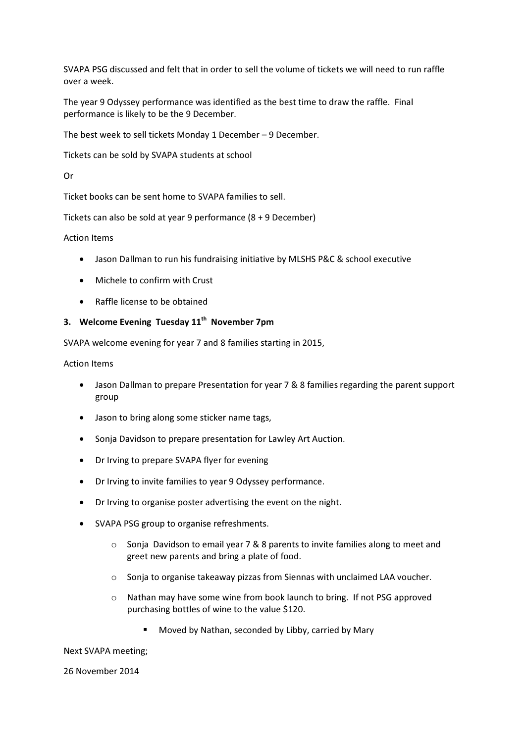SVAPA PSG discussed and felt that in order to sell the volume of tickets we will need to run raffle over a week.

The year 9 Odyssey performance was identified as the best time to draw the raffle. Final performance is likely to be the 9 December.

The best week to sell tickets Monday 1 December – 9 December.

Tickets can be sold by SVAPA students at school

Or

Ticket books can be sent home to SVAPA families to sell.

Tickets can also be sold at year 9 performance (8 + 9 December)

#### Action Items

- Jason Dallman to run his fundraising initiative by MLSHS P&C & school executive
- Michele to confirm with Crust
- Raffle license to be obtained

## 3. Welcome Evening Tuesday  $11<sup>th</sup>$  November 7pm

SVAPA welcome evening for year 7 and 8 families starting in 2015,

Action Items

- Jason Dallman to prepare Presentation for year 7 & 8 families regarding the parent support group
- Jason to bring along some sticker name tags,
- Sonja Davidson to prepare presentation for Lawley Art Auction.
- Dr Irving to prepare SVAPA flyer for evening
- Dr Irving to invite families to year 9 Odyssey performance.
- Dr Irving to organise poster advertising the event on the night.
- SVAPA PSG group to organise refreshments.
	- o Sonja Davidson to email year 7 & 8 parents to invite families along to meet and greet new parents and bring a plate of food.
	- o Sonja to organise takeaway pizzas from Siennas with unclaimed LAA voucher.
	- o Nathan may have some wine from book launch to bring. If not PSG approved purchasing bottles of wine to the value \$120.
		- **Moved by Nathan, seconded by Libby, carried by Mary**

Next SVAPA meeting;

26 November 2014